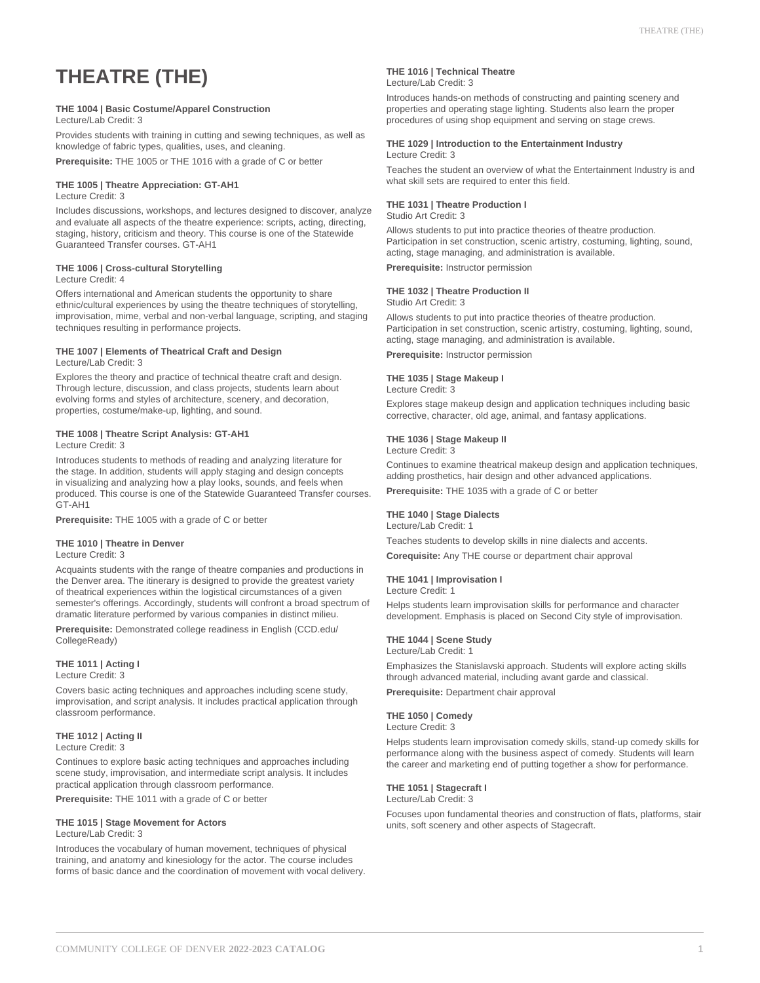# **THEATRE (THE)**

#### **THE 1004 | Basic Costume/Apparel Construction**

Lecture/Lab Credit: 3

Provides students with training in cutting and sewing techniques, as well as knowledge of fabric types, qualities, uses, and cleaning.

**Prerequisite:** THE 1005 or THE 1016 with a grade of C or better

#### **THE 1005 | Theatre Appreciation: GT-AH1** Lecture Credit: 3

Includes discussions, workshops, and lectures designed to discover, analyze and evaluate all aspects of the theatre experience: scripts, acting, directing, staging, history, criticism and theory. This course is one of the Statewide Guaranteed Transfer courses. GT-AH1

# **THE 1006 | Cross-cultural Storytelling**

#### Lecture Credit: 4

Offers international and American students the opportunity to share ethnic/cultural experiences by using the theatre techniques of storytelling, improvisation, mime, verbal and non-verbal language, scripting, and staging techniques resulting in performance projects.

#### **THE 1007 | Elements of Theatrical Craft and Design** Lecture/Lab Credit: 3

Explores the theory and practice of technical theatre craft and design. Through lecture, discussion, and class projects, students learn about evolving forms and styles of architecture, scenery, and decoration, properties, costume/make-up, lighting, and sound.

# **THE 1008 | Theatre Script Analysis: GT-AH1**

Lecture Credit: 3

Introduces students to methods of reading and analyzing literature for the stage. In addition, students will apply staging and design concepts in visualizing and analyzing how a play looks, sounds, and feels when produced. This course is one of the Statewide Guaranteed Transfer courses. GT-AH1

**Prerequisite:** THE 1005 with a grade of C or better

#### **THE 1010 | Theatre in Denver**

Lecture Credit: 3

Acquaints students with the range of theatre companies and productions in the Denver area. The itinerary is designed to provide the greatest variety of theatrical experiences within the logistical circumstances of a given semester's offerings. Accordingly, students will confront a broad spectrum of dramatic literature performed by various companies in distinct milieu.

**Prerequisite:** Demonstrated college readiness in English (CCD.edu/ CollegeReady)

#### **THE 1011 | Acting I**

Lecture Credit: 3

Covers basic acting techniques and approaches including scene study, improvisation, and script analysis. It includes practical application through classroom performance.

## **THE 1012 | Acting II**

Lecture Credit: 3

Continues to explore basic acting techniques and approaches including scene study, improvisation, and intermediate script analysis. It includes practical application through classroom performance.

**Prerequisite:** THE 1011 with a grade of C or better

#### **THE 1015 | Stage Movement for Actors** Lecture/Lab Credit: 3

Introduces the vocabulary of human movement, techniques of physical training, and anatomy and kinesiology for the actor. The course includes forms of basic dance and the coordination of movement with vocal delivery.

#### **THE 1016 | Technical Theatre** Lecture/Lab Credit: 3

Introduces hands-on methods of constructing and painting scenery and properties and operating stage lighting. Students also learn the proper procedures of using shop equipment and serving on stage crews.

#### **THE 1029 | Introduction to the Entertainment Industry** Lecture Credit: 3

Teaches the student an overview of what the Entertainment Industry is and what skill sets are required to enter this field.

#### **THE 1031 | Theatre Production I**

Studio Art Credit: 3

Allows students to put into practice theories of theatre production. Participation in set construction, scenic artistry, costuming, lighting, sound, acting, stage managing, and administration is available.

**Prerequisite:** Instructor permission

# **THE 1032 | Theatre Production II**

Studio Art Credit: 3

Allows students to put into practice theories of theatre production. Participation in set construction, scenic artistry, costuming, lighting, sound, acting, stage managing, and administration is available.

**Prerequisite:** Instructor permission

# **THE 1035 | Stage Makeup I**

Lecture Credit: 3

Explores stage makeup design and application techniques including basic corrective, character, old age, animal, and fantasy applications.

#### **THE 1036 | Stage Makeup II**

Lecture Credit: 3

Continues to examine theatrical makeup design and application techniques, adding prosthetics, hair design and other advanced applications.

**Prerequisite:** THE 1035 with a grade of C or better

# **THE 1040 | Stage Dialects**

Lecture/Lab Credit: 1

Teaches students to develop skills in nine dialects and accents. **Corequisite:** Any THE course or department chair approval

#### **THE 1041 | Improvisation I**

Lecture Credit: 1

Helps students learn improvisation skills for performance and character development. Emphasis is placed on Second City style of improvisation.

#### **THE 1044 | Scene Study**

Lecture/Lab Credit: 1

Emphasizes the Stanislavski approach. Students will explore acting skills through advanced material, including avant garde and classical.

**Prerequisite:** Department chair approval

#### **THE 1050 | Comedy**

#### Lecture Credit: 3

Helps students learn improvisation comedy skills, stand-up comedy skills for performance along with the business aspect of comedy. Students will learn the career and marketing end of putting together a show for performance.

#### **THE 1051 | Stagecraft I**

## Lecture/Lab Credit: 3

Focuses upon fundamental theories and construction of flats, platforms, stair units, soft scenery and other aspects of Stagecraft.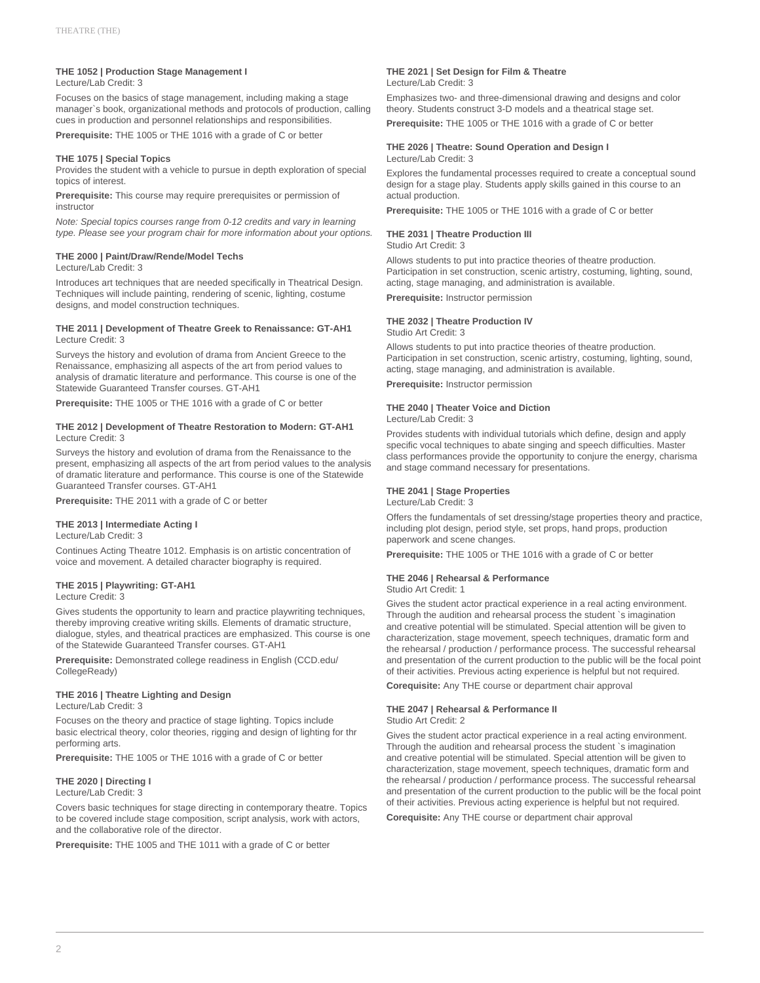# **THE 1052 | Production Stage Management I**

Lecture/Lab Credit: 3

Focuses on the basics of stage management, including making a stage manager`s book, organizational methods and protocols of production, calling cues in production and personnel relationships and responsibilities.

**Prerequisite:** THE 1005 or THE 1016 with a grade of C or better

#### **THE 1075 | Special Topics**

Provides the student with a vehicle to pursue in depth exploration of special topics of interest.

**Prerequisite:** This course may require prerequisites or permission of instructor

Note: Special topics courses range from 0-12 credits and vary in learning type. Please see your program chair for more information about your options.

#### **THE 2000 | Paint/Draw/Rende/Model Techs**

Lecture/Lab Credit: 3

Introduces art techniques that are needed specifically in Theatrical Design. Techniques will include painting, rendering of scenic, lighting, costume designs, and model construction techniques.

#### **THE 2011 | Development of Theatre Greek to Renaissance: GT-AH1** Lecture Credit: 3

Surveys the history and evolution of drama from Ancient Greece to the Renaissance, emphasizing all aspects of the art from period values to analysis of dramatic literature and performance. This course is one of the Statewide Guaranteed Transfer courses. GT-AH1

**Prerequisite:** THE 1005 or THE 1016 with a grade of C or better

#### **THE 2012 | Development of Theatre Restoration to Modern: GT-AH1** Lecture Credit: 3

Surveys the history and evolution of drama from the Renaissance to the present, emphasizing all aspects of the art from period values to the analysis of dramatic literature and performance. This course is one of the Statewide Guaranteed Transfer courses. GT-AH1

**Prerequisite:** THE 2011 with a grade of C or better

#### **THE 2013 | Intermediate Acting I**

Lecture/Lab Credit: 3

Continues Acting Theatre 1012. Emphasis is on artistic concentration of voice and movement. A detailed character biography is required.

## **THE 2015 | Playwriting: GT-AH1**

Lecture Credit: 3

Gives students the opportunity to learn and practice playwriting techniques, thereby improving creative writing skills. Elements of dramatic structure, dialogue, styles, and theatrical practices are emphasized. This course is one of the Statewide Guaranteed Transfer courses. GT-AH1

**Prerequisite:** Demonstrated college readiness in English (CCD.edu/ CollegeReady)

#### **THE 2016 | Theatre Lighting and Design** Lecture/Lab Credit: 3

Focuses on the theory and practice of stage lighting. Topics include basic electrical theory, color theories, rigging and design of lighting for thr performing arts.

**Prerequisite:** THE 1005 or THE 1016 with a grade of C or better

# **THE 2020 | Directing I**

Lecture/Lab Credit: 3 Covers basic techniques for stage directing in contemporary theatre. Topics

to be covered include stage composition, script analysis, work with actors, and the collaborative role of the director.

**Prerequisite:** THE 1005 and THE 1011 with a grade of C or better

#### **THE 2021 | Set Design for Film & Theatre** Lecture/Lab Credit: 3

Emphasizes two- and three-dimensional drawing and designs and color theory. Students construct 3-D models and a theatrical stage set.

**Prerequisite:** THE 1005 or THE 1016 with a grade of C or better

#### **THE 2026 | Theatre: Sound Operation and Design I** Lecture/Lab Credit: 3

Explores the fundamental processes required to create a conceptual sound design for a stage play. Students apply skills gained in this course to an actual production.

**Prerequisite:** THE 1005 or THE 1016 with a grade of C or better

# **THE 2031 | Theatre Production III**

Studio Art Credit: 3

Allows students to put into practice theories of theatre production. Participation in set construction, scenic artistry, costuming, lighting, sound, acting, stage managing, and administration is available.

**Prerequisite:** Instructor permission

#### **THE 2032 | Theatre Production IV**

Studio Art Credit: 3

Allows students to put into practice theories of theatre production. Participation in set construction, scenic artistry, costuming, lighting, sound, acting, stage managing, and administration is available.

**Prerequisite:** Instructor permission

# **THE 2040 | Theater Voice and Diction**

Lecture/Lab Credit: 3

Provides students with individual tutorials which define, design and apply specific vocal techniques to abate singing and speech difficulties. Master class performances provide the opportunity to conjure the energy, charisma and stage command necessary for presentations.

# **THE 2041 | Stage Properties**

Lecture/Lab Credit: 3

Offers the fundamentals of set dressing/stage properties theory and practice, including plot design, period style, set props, hand props, production paperwork and scene changes.

**Prerequisite:** THE 1005 or THE 1016 with a grade of C or better

# **THE 2046 | Rehearsal & Performance**

Studio Art Credit: 1

Gives the student actor practical experience in a real acting environment. Through the audition and rehearsal process the student `s imagination and creative potential will be stimulated. Special attention will be given to characterization, stage movement, speech techniques, dramatic form and the rehearsal / production / performance process. The successful rehearsal and presentation of the current production to the public will be the focal point of their activities. Previous acting experience is helpful but not required.

**Corequisite:** Any THE course or department chair approval

## **THE 2047 | Rehearsal & Performance II**

Studio Art Credit: 2

Gives the student actor practical experience in a real acting environment. Through the audition and rehearsal process the student `s imagination and creative potential will be stimulated. Special attention will be given to characterization, stage movement, speech techniques, dramatic form and the rehearsal / production / performance process. The successful rehearsal and presentation of the current production to the public will be the focal point of their activities. Previous acting experience is helpful but not required.

**Corequisite:** Any THE course or department chair approval